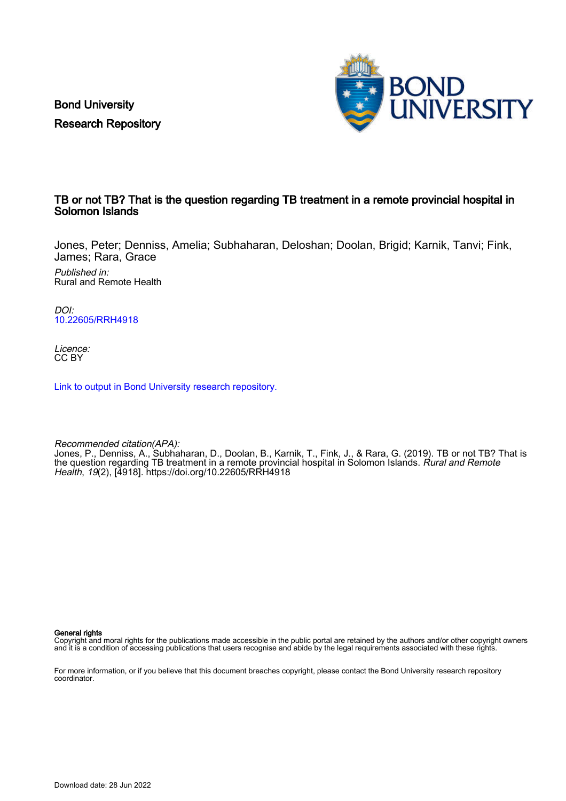Bond University Research Repository



## TB or not TB? That is the question regarding TB treatment in a remote provincial hospital in Solomon Islands

Jones, Peter; Denniss, Amelia; Subhaharan, Deloshan; Doolan, Brigid; Karnik, Tanvi; Fink, James; Rara, Grace

Published in: Rural and Remote Health

DOI: [10.22605/RRH4918](https://doi.org/10.22605/RRH4918)

Licence: CC BY

[Link to output in Bond University research repository.](https://research.bond.edu.au/en/publications/282f767c-5fd1-4dd8-8768-7a172706f11f)

Recommended citation(APA): Jones, P., Denniss, A., Subhaharan, D., Doolan, B., Karnik, T., Fink, J., & Rara, G. (2019). TB or not TB? That is the question regarding TB treatment in a remote provincial hospital in Solomon Islands. *Rural and Remote* Health, 19(2), [4918]. <https://doi.org/10.22605/RRH4918>

General rights

Copyright and moral rights for the publications made accessible in the public portal are retained by the authors and/or other copyright owners and it is a condition of accessing publications that users recognise and abide by the legal requirements associated with these rights.

For more information, or if you believe that this document breaches copyright, please contact the Bond University research repository coordinator.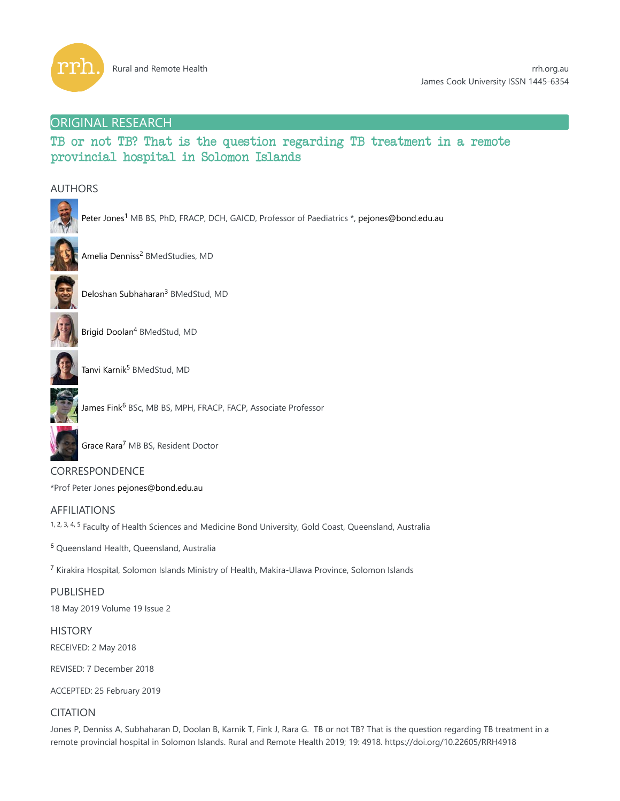

## ORIGINAL RESEARCH

TB or not TB? That is the question regarding TB treatment in a remote provincial hospital in Solomon Islands

## AUTHORS



Peter Jones<sup>1</sup> MB BS, PhD, FRACP, DCH, GAICD, Professor of Paediatrics \*, pejones@bond.edu.au



Amelia Denniss<sup>2</sup> BMedStudies, MD



Deloshan Subhaharan<sup>3</sup> BMedStud, MD



Brigid Doolan<sup>4</sup> BMedStud, MD



Tanvi Karnik<sup>5</sup> BMedStud, MD



Grace Rara<sup>7</sup> MB BS, Resident Doctor

CORRESPONDENCE \*Prof Peter Jones pejones@bond.edu.au

# AFFILIATIONS

1, 2, 3, 4, 5 Faculty of Health Sciences and Medicine Bond University, Gold Coast, Queensland, Australia

<sup>6</sup> Queensland Health, Queensland, Australia

<sup>7</sup> Kirakira Hospital, Solomon Islands Ministry of Health, Makira-Ulawa Province, Solomon Islands

## PUBLISHED

18 May 2019 Volume 19 Issue 2

#### **HISTORY**

RECEIVED: 2 May 2018

REVISED: 7 December 2018

ACCEPTED: 25 February 2019

## **CITATION**

Jones P, Denniss A, Subhaharan D, Doolan B, Karnik T, Fink J, Rara G. TB or not TB? That is the question regarding TB treatment in a remote provincial hospital in Solomon Islands. Rural and Remote Health 2019; 19: 4918. https://doi.org/10.22605/RRH4918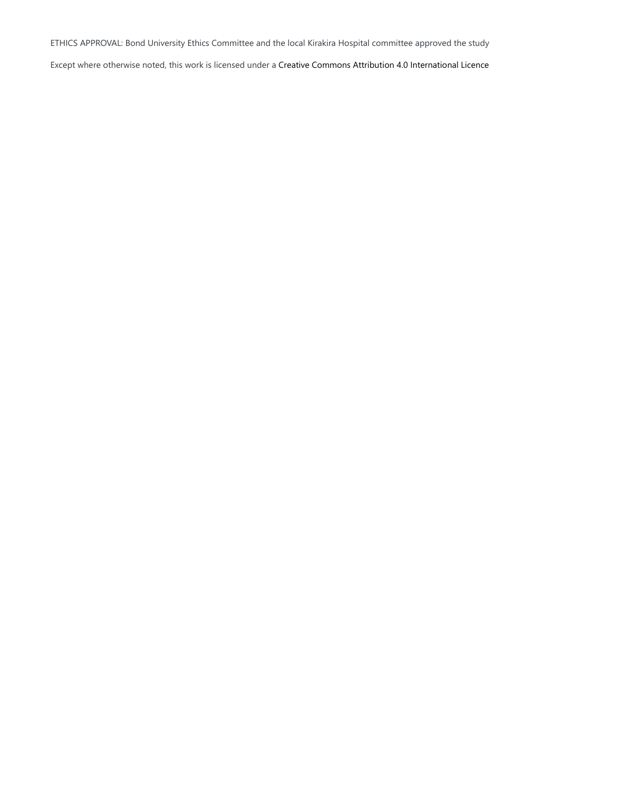ETHICS APPROVAL: Bond University Ethics Committee and the local Kirakira Hospital committee approved the study

Except where otherwise noted, this work is licensed under a Creative Commons Attribution 4.0 International Licence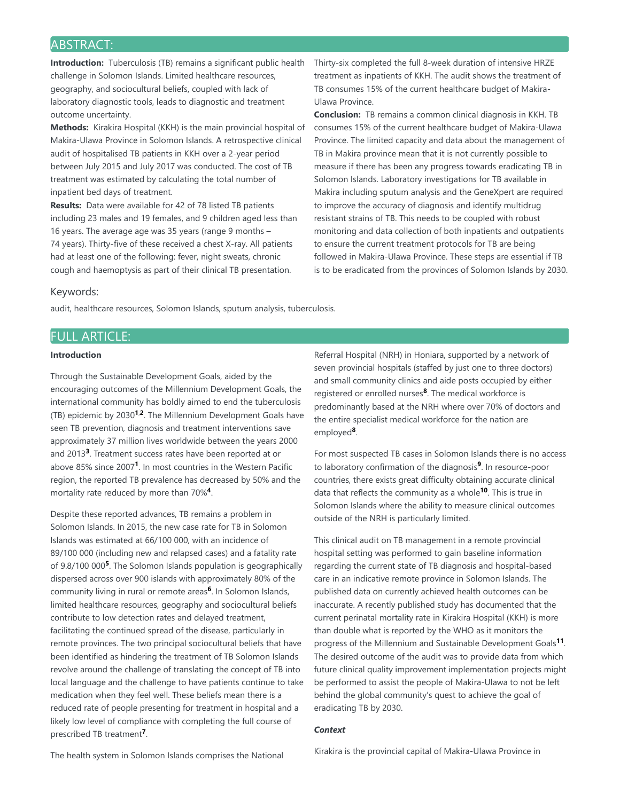## ABSTRACT:

**Introduction:** Tuberculosis (TB) remains a significant public health challenge in Solomon Islands. Limited healthcare resources, geography, and sociocultural beliefs, coupled with lack of laboratory diagnostic tools, leads to diagnostic and treatment outcome uncertainty.

**Methods:** Kirakira Hospital (KKH) is the main provincial hospital of Makira-Ulawa Province in Solomon Islands. A retrospective clinical audit of hospitalised TB patients in KKH over a 2-year period between July 2015 and July 2017 was conducted. The cost of TB treatment was estimated by calculating the total number of inpatient bed days of treatment.

**Results:** Data were available for 42 of 78 listed TB patients including 23 males and 19 females, and 9 children aged less than 16 years. The average age was 35 years (range 9 months – 74 years). Thirty-five of these received a chest X-ray. All patients had at least one of the following: fever, night sweats, chronic cough and haemoptysis as part of their clinical TB presentation.

Thirty-six completed the full 8-week duration of intensive HRZE treatment as inpatients of KKH. The audit shows the treatment of TB consumes 15% of the current healthcare budget of Makira-Ulawa Province.

**Conclusion:** TB remains a common clinical diagnosis in KKH. TB consumes 15% of the current healthcare budget of Makira-Ulawa Province. The limited capacity and data about the management of TB in Makira province mean that it is not currently possible to measure if there has been any progress towards eradicating TB in Solomon Islands. Laboratory investigations for TB available in Makira including sputum analysis and the GeneXpert are required to improve the accuracy of diagnosis and identify multidrug resistant strains of TB. This needs to be coupled with robust monitoring and data collection of both inpatients and outpatients to ensure the current treatment protocols for TB are being followed in Makira-Ulawa Province. These steps are essential if TB is to be eradicated from the provinces of Solomon Islands by 2030.

#### Keywords:

audit, healthcare resources, Solomon Islands, sputum analysis, tuberculosis.

## FULL ARTICLE:

#### **Introduction**

Through the Sustainable Development Goals, aided by the encouraging outcomes of the Millennium Development Goals, the international community has boldly aimed to end the tuberculosis (TB) epidemic by 2030<sup>1,2</sup>. The Millennium Development Goals have seen TB prevention, diagnosis and treatment interventions save approximately 37 million lives worldwide between the years 2000 and 2013<sup>3</sup>. Treatment success rates have been reported at or above 85% since 2007<sup>1</sup>. In most countries in the Western Pacific region, the reported TB prevalence has decreased by 50% and the mortality rate reduced by more than 70%<sup>4</sup>.

Despite these reported advances, TB remains a problem in Solomon Islands. In 2015, the new case rate for TB in Solomon Islands was estimated at 66/100 000, with an incidence of 89/100 000 (including new and relapsed cases) and a fatality rate of 9.8/100 000<sup>5</sup>. The Solomon Islands population is geographically dispersed across over 900 islands with approximately 80% of the community living in rural or remote areas<sup>6</sup>. In Solomon Islands, limited healthcare resources, geography and sociocultural beliefs contribute to low detection rates and delayed treatment, facilitating the continued spread of the disease, particularly in remote provinces. The two principal sociocultural beliefs that have been identified as hindering the treatment of TB Solomon Islands revolve around the challenge of translating the concept of TB into local language and the challenge to have patients continue to take medication when they feel well. These beliefs mean there is a reduced rate of people presenting for treatment in hospital and a likely low level of compliance with completing the full course of prescribed TB treatment<sup>7</sup>.

Referral Hospital (NRH) in Honiara, supported by a network of seven provincial hospitals (staffed by just one to three doctors) and small community clinics and aide posts occupied by either registered or enrolled nurses<sup>8</sup>. The medical workforce is predominantly based at the NRH where over 70% of doctors and the entire specialist medical workforce for the nation are employed<sup>8</sup>.

For most suspected TB cases in Solomon Islands there is no access to laboratory confirmation of the diagnosis<sup>9</sup>. In resource-poor countries, there exists great difficulty obtaining accurate clinical data that reflects the community as a whole<sup>10</sup>. This is true in Solomon Islands where the ability to measure clinical outcomes outside of the NRH is particularly limited.

This clinical audit on TB management in a remote provincial hospital setting was performed to gain baseline information regarding the current state of TB diagnosis and hospital-based care in an indicative remote province in Solomon Islands. The published data on currently achieved health outcomes can be inaccurate. A recently published study has documented that the current perinatal mortality rate in Kirakira Hospital (KKH) is more than double what is reported by the WHO as it monitors the progress of the Millennium and Sustainable Development Goals<sup>11</sup>. The desired outcome of the audit was to provide data from which future clinical quality improvement implementation projects might be performed to assist the people of Makira-Ulawa to not be left behind the global community's quest to achieve the goal of eradicating TB by 2030.

#### *Context*

The health system in Solomon Islands comprises the National

Kirakira is the provincial capital of Makira-Ulawa Province in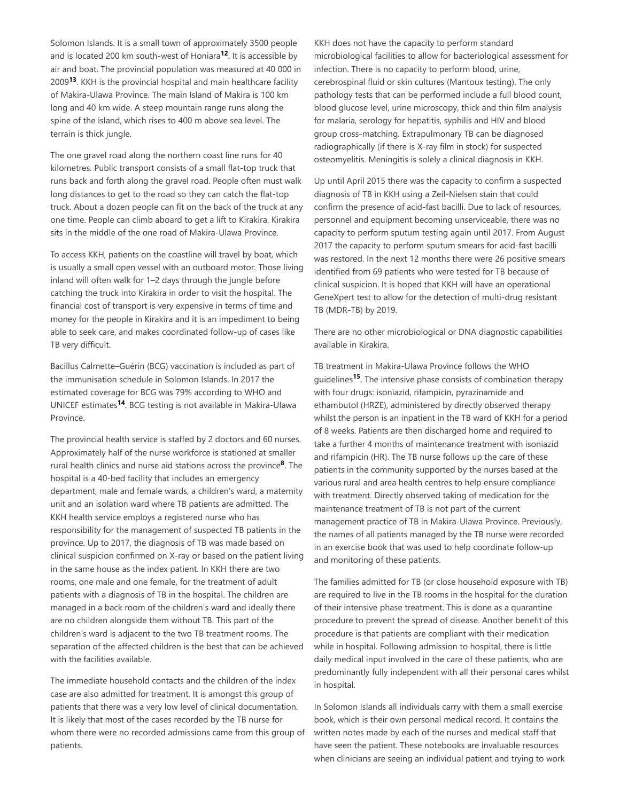Solomon Islands. It is a small town of approximately 3500 people and is located 200 km south-west of Honiara<sup>12</sup>. It is accessible by air and boat. The provincial population was measured at 40 000 in 2009<sup>13</sup>. KKH is the provincial hospital and main healthcare facility of Makira-Ulawa Province. The main Island of Makira is 100 km long and 40 km wide. A steep mountain range runs along the spine of the island, which rises to 400 m above sea level. The terrain is thick jungle.

The one gravel road along the northern coast line runs for 40 kilometres. Public transport consists of a small flat-top truck that runs back and forth along the gravel road. People often must walk long distances to get to the road so they can catch the flat-top truck. About a dozen people can fit on the back of the truck at any one time. People can climb aboard to get a lift to Kirakira. Kirakira sits in the middle of the one road of Makira-Ulawa Province.

To access KKH, patients on the coastline will travel by boat, which is usually a small open vessel with an outboard motor. Those living inland will often walk for 1–2 days through the jungle before catching the truck into Kirakira in order to visit the hospital. The financial cost of transport is very expensive in terms of time and money for the people in Kirakira and it is an impediment to being able to seek care, and makes coordinated follow-up of cases like TB very difficult.

Bacillus Calmette–Guérin (BCG) vaccination is included as part of the immunisation schedule in Solomon Islands. In 2017 the estimated coverage for BCG was 79% according to WHO and UNICEF estimates<sup>14</sup>. BCG testing is not available in Makira-Ulawa Province.

The provincial health service is staffed by 2 doctors and 60 nurses. Approximately half of the nurse workforce is stationed at smaller rural health clinics and nurse aid stations across the province<sup>8</sup>. The hospital is a 40-bed facility that includes an emergency department, male and female wards, a children's ward, a maternity unit and an isolation ward where TB patients are admitted. The KKH health service employs a registered nurse who has responsibility for the management of suspected TB patients in the province. Up to 2017, the diagnosis of TB was made based on clinical suspicion confirmed on X-ray or based on the patient living in the same house as the index patient. In KKH there are two rooms, one male and one female, for the treatment of adult patients with a diagnosis of TB in the hospital. The children are managed in a back room of the children's ward and ideally there are no children alongside them without TB. This part of the children's ward is adjacent to the two TB treatment rooms. The separation of the affected children is the best that can be achieved with the facilities available.

The immediate household contacts and the children of the index case are also admitted for treatment. It is amongst this group of patients that there was a very low level of clinical documentation. It is likely that most of the cases recorded by the TB nurse for whom there were no recorded admissions came from this group of patients.

KKH does not have the capacity to perform standard microbiological facilities to allow for bacteriological assessment for infection. There is no capacity to perform blood, urine, cerebrospinal fluid or skin cultures (Mantoux testing). The only pathology tests that can be performed include a full blood count, blood glucose level, urine microscopy, thick and thin film analysis for malaria, serology for hepatitis, syphilis and HIV and blood group cross-matching. Extrapulmonary TB can be diagnosed radiographically (if there is X-ray film in stock) for suspected osteomyelitis. Meningitis is solely a clinical diagnosis in KKH.

Up until April 2015 there was the capacity to confirm a suspected diagnosis of TB in KKH using a Zeil-Nielsen stain that could confirm the presence of acid-fast bacilli. Due to lack of resources, personnel and equipment becoming unserviceable, there was no capacity to perform sputum testing again until 2017. From August 2017 the capacity to perform sputum smears for acid-fast bacilli was restored. In the next 12 months there were 26 positive smears identified from 69 patients who were tested for TB because of clinical suspicion. It is hoped that KKH will have an operational GeneXpert test to allow for the detection of multi-drug resistant TB (MDR-TB) by 2019.

There are no other microbiological or DNA diagnostic capabilities available in Kirakira.

TB treatment in Makira-Ulawa Province follows the WHO guidelines<sup>15</sup>. The intensive phase consists of combination therapy with four drugs: isoniazid, rifampicin, pyrazinamide and ethambutol (HRZE), administered by directly observed therapy whilst the person is an inpatient in the TB ward of KKH for a period of 8 weeks. Patients are then discharged home and required to take a further 4 months of maintenance treatment with isoniazid and rifampicin (HR). The TB nurse follows up the care of these patients in the community supported by the nurses based at the various rural and area health centres to help ensure compliance with treatment. Directly observed taking of medication for the maintenance treatment of TB is not part of the current management practice of TB in Makira-Ulawa Province. Previously, the names of all patients managed by the TB nurse were recorded in an exercise book that was used to help coordinate follow-up and monitoring of these patients.

The families admitted for TB (or close household exposure with TB) are required to live in the TB rooms in the hospital for the duration of their intensive phase treatment. This is done as a quarantine procedure to prevent the spread of disease. Another benefit of this procedure is that patients are compliant with their medication while in hospital. Following admission to hospital, there is little daily medical input involved in the care of these patients, who are predominantly fully independent with all their personal cares whilst in hospital.

In Solomon Islands all individuals carry with them a small exercise book, which is their own personal medical record. It contains the written notes made by each of the nurses and medical staff that have seen the patient. These notebooks are invaluable resources when clinicians are seeing an individual patient and trying to work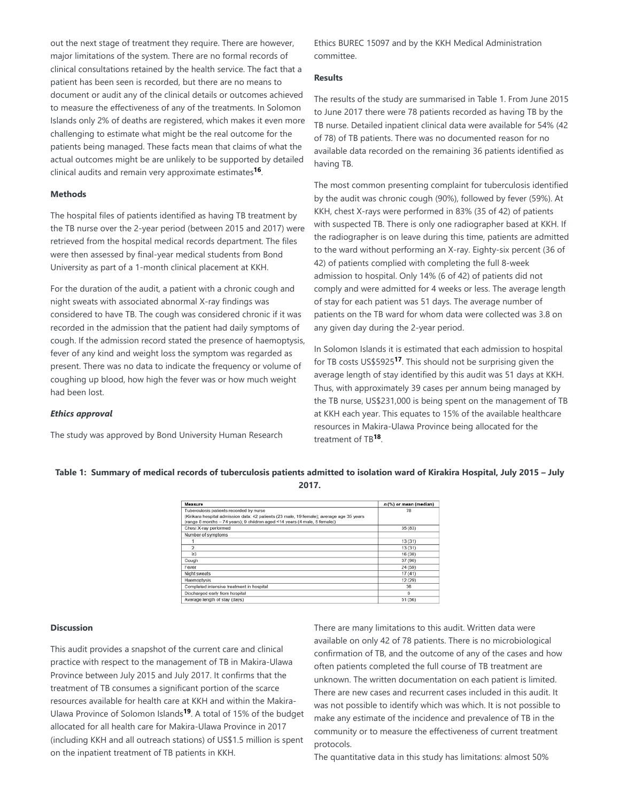out the next stage of treatment they require. There are however, major limitations of the system. There are no formal records of clinical consultations retained by the health service. The fact that a patient has been seen is recorded, but there are no means to document or audit any of the clinical details or outcomes achieved to measure the effectiveness of any of the treatments. In Solomon Islands only 2% of deaths are registered, which makes it even more challenging to estimate what might be the real outcome for the patients being managed. These facts mean that claims of what the actual outcomes might be are unlikely to be supported by detailed clinical audits and remain very approximate estimates<sup>16</sup>.

#### **Methods**

The hospital files of patients identified as having TB treatment by the TB nurse over the 2-year period (between 2015 and 2017) were retrieved from the hospital medical records department. The files were then assessed by final-year medical students from Bond University as part of a 1-month clinical placement at KKH.

For the duration of the audit, a patient with a chronic cough and night sweats with associated abnormal X-ray findings was considered to have TB. The cough was considered chronic if it was recorded in the admission that the patient had daily symptoms of cough. If the admission record stated the presence of haemoptysis, fever of any kind and weight loss the symptom was regarded as present. There was no data to indicate the frequency or volume of coughing up blood, how high the fever was or how much weight had been lost.

#### *Ethics approval*

The study was approved by Bond University Human Research

Ethics BUREC 15097 and by the KKH Medical Administration committee.

#### **Results**

The results of the study are summarised in Table 1. From June 2015 to June 2017 there were 78 patients recorded as having TB by the TB nurse. Detailed inpatient clinical data were available for 54% (42 of 78) of TB patients. There was no documented reason for no available data recorded on the remaining 36 patients identified as having TB.

The most common presenting complaint for tuberculosis identified by the audit was chronic cough (90%), followed by fever (59%). At KKH, chest X-rays were performed in 83% (35 of 42) of patients with suspected TB. There is only one radiographer based at KKH. If the radiographer is on leave during this time, patients are admitted to the ward without performing an X-ray. Eighty-six percent (36 of 42) of patients complied with completing the full 8-week admission to hospital. Only 14% (6 of 42) of patients did not comply and were admitted for 4 weeks or less. The average length of stay for each patient was 51 days. The average number of patients on the TB ward for whom data were collected was 3.8 on any given day during the 2-year period.

In Solomon Islands it is estimated that each admission to hospital for TB costs US\$5925<sup>17</sup>. This should not be surprising given the average length of stay identified by this audit was 51 days at KKH. Thus, with approximately 39 cases per annum being managed by the TB nurse, US\$231,000 is being spent on the management of TB at KKH each year. This equates to 15% of the available healthcare resources in Makira-Ulawa Province being allocated for the treatment of TB<sup>18</sup>.

| Table 1: Summary of medical records of tuberculosis patients admitted to isolation ward of Kirakira Hospital, July 2015 - July |
|--------------------------------------------------------------------------------------------------------------------------------|
| 2017.                                                                                                                          |

| Measure                                                                                                                                                                 | $n$ (%) or mean (median) |
|-------------------------------------------------------------------------------------------------------------------------------------------------------------------------|--------------------------|
| Tuberculosis patients recorded by nurse                                                                                                                                 | 78                       |
| (Kirikara hospital admission data: 42 patients (23 male, 19 female); average age 35 years<br>(range 8 months - 74 years); 9 children aged <14 years (4 male, 5 female)) |                          |
| Chest X-ray performed                                                                                                                                                   | 35 (83)                  |
| Number of symptoms                                                                                                                                                      |                          |
|                                                                                                                                                                         | 13(31)                   |
| $\overline{2}$                                                                                                                                                          | 13(31)                   |
| $\geq$ 3                                                                                                                                                                | 16 (38)                  |
| Cough                                                                                                                                                                   | 37 (90)                  |
| Fever                                                                                                                                                                   | 24 (59)                  |
| Night sweats                                                                                                                                                            | 17(41)                   |
| <b>Haemoptysis</b>                                                                                                                                                      | 12 (29)                  |
| Completed intensive treatment in hospital                                                                                                                               | 36                       |
| Discharged early from hospital                                                                                                                                          | 6                        |
| Average length of stay (days)                                                                                                                                           | 51 (56)                  |

#### **Discussion**

This audit provides a snapshot of the current care and clinical practice with respect to the management of TB in Makira-Ulawa Province between July 2015 and July 2017. It confirms that the treatment of TB consumes a significant portion of the scarce resources available for health care at KKH and within the Makira-Ulawa Province of Solomon Islands<sup>19</sup>. A total of 15% of the budget allocated for all health care for Makira-Ulawa Province in 2017 (including KKH and all outreach stations) of US\$1.5 million is spent on the inpatient treatment of TB patients in KKH.

There are many limitations to this audit. Written data were available on only 42 of 78 patients. There is no microbiological confirmation of TB, and the outcome of any of the cases and how often patients completed the full course of TB treatment are unknown. The written documentation on each patient is limited. There are new cases and recurrent cases included in this audit. It was not possible to identify which was which. It is not possible to make any estimate of the incidence and prevalence of TB in the community or to measure the effectiveness of current treatment protocols.

The quantitative data in this study has limitations: almost 50%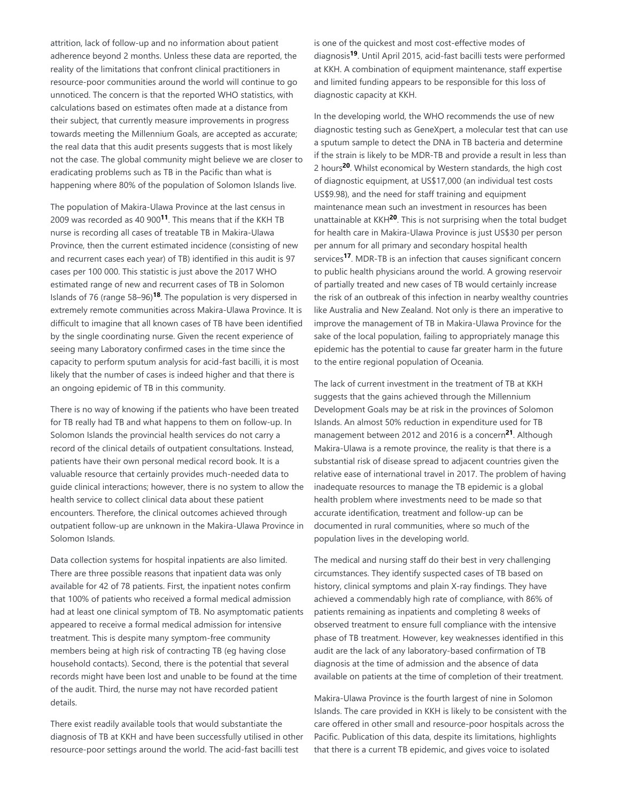attrition, lack of follow-up and no information about patient adherence beyond 2 months. Unless these data are reported, the reality of the limitations that confront clinical practitioners in resource-poor communities around the world will continue to go unnoticed. The concern is that the reported WHO statistics, with calculations based on estimates often made at a distance from their subject, that currently measure improvements in progress towards meeting the Millennium Goals, are accepted as accurate; the real data that this audit presents suggests that is most likely not the case. The global community might believe we are closer to eradicating problems such as TB in the Pacific than what is happening where 80% of the population of Solomon Islands live.

The population of Makira-Ulawa Province at the last census in 2009 was recorded as 40 900<sup>11</sup>. This means that if the KKH TB nurse is recording all cases of treatable TB in Makira-Ulawa Province, then the current estimated incidence (consisting of new and recurrent cases each year) of TB) identified in this audit is 97 cases per 100 000. This statistic is just above the 2017 WHO estimated range of new and recurrent cases of TB in Solomon Islands of 76 (range 58–96)<sup>18</sup>. The population is very dispersed in extremely remote communities across Makira-Ulawa Province. It is difficult to imagine that all known cases of TB have been identified by the single coordinating nurse. Given the recent experience of seeing many Laboratory confirmed cases in the time since the capacity to perform sputum analysis for acid-fast bacilli, it is most likely that the number of cases is indeed higher and that there is an ongoing epidemic of TB in this community.

There is no way of knowing if the patients who have been treated for TB really had TB and what happens to them on follow-up. In Solomon Islands the provincial health services do not carry a record of the clinical details of outpatient consultations. Instead, patients have their own personal medical record book. It is a valuable resource that certainly provides much-needed data to guide clinical interactions; however, there is no system to allow the health service to collect clinical data about these patient encounters. Therefore, the clinical outcomes achieved through outpatient follow-up are unknown in the Makira-Ulawa Province in Solomon Islands.

Data collection systems for hospital inpatients are also limited. There are three possible reasons that inpatient data was only available for 42 of 78 patients. First, the inpatient notes confirm that 100% of patients who received a formal medical admission had at least one clinical symptom of TB. No asymptomatic patients appeared to receive a formal medical admission for intensive treatment. This is despite many symptom-free community members being at high risk of contracting TB (eg having close household contacts). Second, there is the potential that several records might have been lost and unable to be found at the time of the audit. Third, the nurse may not have recorded patient details.

There exist readily available tools that would substantiate the diagnosis of TB at KKH and have been successfully utilised in other resource-poor settings around the world. The acid-fast bacilli test

is one of the quickest and most cost-effective modes of diagnosis<sup>19</sup>. Until April 2015, acid-fast bacilli tests were performed at KKH. A combination of equipment maintenance, staff expertise and limited funding appears to be responsible for this loss of diagnostic capacity at KKH.

In the developing world, the WHO recommends the use of new diagnostic testing such as GeneXpert, a molecular test that can use a sputum sample to detect the DNA in TB bacteria and determine if the strain is likely to be MDR-TB and provide a result in less than 2 hours<sup>20</sup>. Whilst economical by Western standards, the high cost of diagnostic equipment, at US\$17,000 (an individual test costs US\$9.98), and the need for staff training and equipment maintenance mean such an investment in resources has been unattainable at KKH<sup>20</sup>. This is not surprising when the total budget for health care in Makira-Ulawa Province is just US\$30 per person per annum for all primary and secondary hospital health services<sup>17</sup>. MDR-TB is an infection that causes significant concern to public health physicians around the world. A growing reservoir of partially treated and new cases of TB would certainly increase the risk of an outbreak of this infection in nearby wealthy countries like Australia and New Zealand. Not only is there an imperative to improve the management of TB in Makira-Ulawa Province for the sake of the local population, failing to appropriately manage this epidemic has the potential to cause far greater harm in the future to the entire regional population of Oceania.

The lack of current investment in the treatment of TB at KKH suggests that the gains achieved through the Millennium Development Goals may be at risk in the provinces of Solomon Islands. An almost 50% reduction in expenditure used for TB management between 2012 and 2016 is a concern<sup>21</sup>. Although Makira-Ulawa is a remote province, the reality is that there is a substantial risk of disease spread to adjacent countries given the relative ease of international travel in 2017. The problem of having inadequate resources to manage the TB epidemic is a global health problem where investments need to be made so that accurate identification, treatment and follow-up can be documented in rural communities, where so much of the population lives in the developing world.

The medical and nursing staff do their best in very challenging circumstances. They identify suspected cases of TB based on history, clinical symptoms and plain X-ray findings. They have achieved a commendably high rate of compliance, with 86% of patients remaining as inpatients and completing 8 weeks of observed treatment to ensure full compliance with the intensive phase of TB treatment. However, key weaknesses identified in this audit are the lack of any laboratory-based confirmation of TB diagnosis at the time of admission and the absence of data available on patients at the time of completion of their treatment.

Makira-Ulawa Province is the fourth largest of nine in Solomon Islands. The care provided in KKH is likely to be consistent with the care offered in other small and resource-poor hospitals across the Pacific. Publication of this data, despite its limitations, highlights that there is a current TB epidemic, and gives voice to isolated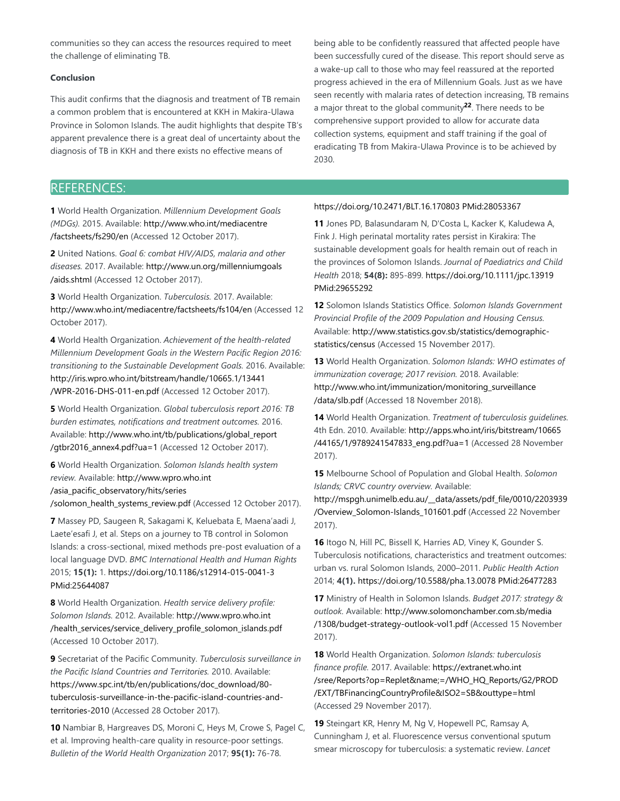communities so they can access the resources required to meet the challenge of eliminating TB.

#### **Conclusion**

This audit confirms that the diagnosis and treatment of TB remain a common problem that is encountered at KKH in Makira-Ulawa Province in Solomon Islands. The audit highlights that despite TB's apparent prevalence there is a great deal of uncertainty about the diagnosis of TB in KKH and there exists no effective means of

being able to be confidently reassured that affected people have been successfully cured of the disease. This report should serve as a wake-up call to those who may feel reassured at the reported progress achieved in the era of Millennium Goals. Just as we have seen recently with malaria rates of detection increasing, TB remains a major threat to the global community<sup>22</sup>. There needs to be comprehensive support provided to allow for accurate data collection systems, equipment and staff training if the goal of eradicating TB from Makira-Ulawa Province is to be achieved by 2030.

## REFERENCES:

**1** World Health Organization. *Millennium Development Goals (MDGs).* 2015. Available: http://www.who.int/mediacentre /factsheets/fs290/en (Accessed 12 October 2017).

**2** United Nations. *Goal 6: combat HIV/AIDS, malaria and other diseases.* 2017. Available: http://www.un.org/millenniumgoals /aids.shtml (Accessed 12 October 2017).

**3** World Health Organization. *Tuberculosis.* 2017. Available: http://www.who.int/mediacentre/factsheets/fs104/en (Accessed 12 October 2017).

**4** World Health Organization. *Achievement of the health-related Millennium Development Goals in the Western Pacific Region 2016: transitioning to the Sustainable Development Goals.* 2016. Available: http://iris.wpro.who.int/bitstream/handle/10665.1/13441 /WPR-2016-DHS-011-en.pdf (Accessed 12 October 2017).

**5** World Health Organization. *Global tuberculosis report 2016: TB burden estimates, notifications and treatment outcomes.* 2016. Available: http://www.who.int/tb/publications/global\_report /gtbr2016\_annex4.pdf?ua=1 (Accessed 12 October 2017).

**6** World Health Organization. *Solomon Islands health system review.* Available: http://www.wpro.who.int /asia\_pacific\_observatory/hits/series /solomon\_health\_systems\_review.pdf (Accessed 12 October 2017).

**7** Massey PD, Saugeen R, Sakagami K, Keluebata E, Maena'aadi J, Laete'esafi J, et al. Steps on a journey to TB control in Solomon Islands: a cross-sectional, mixed methods pre-post evaluation of a local language DVD. *BMC International Health and Human Rights* 2015; **15(1):** 1. https://doi.org/10.1186/s12914-015-0041-3 PMid:25644087

**8** World Health Organization. *Health service delivery profile: Solomon Islands.* 2012. Available: http://www.wpro.who.int /health\_services/service\_delivery\_profile\_solomon\_islands.pdf (Accessed 10 October 2017).

**9** Secretariat of the Pacific Community. *Tuberculosis surveillance in the Pacific Island Countries and Territories.* 2010. Available: https://www.spc.int/tb/en/publications/doc\_download/80 tuberculosis-surveillance-in-the-pacific-island-countries-andterritories-2010 (Accessed 28 October 2017).

**10** Nambiar B, Hargreaves DS, Moroni C, Heys M, Crowe S, Pagel C, et al. Improving health-care quality in resource-poor settings. *Bulletin of the World Health Organization* 2017; **95(1):** 76-78.

#### https://doi.org/10.2471/BLT.16.170803 PMid:28053367

**11** Jones PD, Balasundaram N, D'Costa L, Kacker K, Kaludewa A, Fink J. High perinatal mortality rates persist in Kirakira: The sustainable development goals for health remain out of reach in the provinces of Solomon Islands. *Journal of Paediatrics and Child Health* 2018; **54(8):** 895-899. https://doi.org/10.1111/jpc.13919 PMid:29655292

**12** Solomon Islands Statistics Office. *Solomon Islands Government Provincial Profile of the 2009 Population and Housing Census.* Available: http://www.statistics.gov.sb/statistics/demographicstatistics/census (Accessed 15 November 2017).

**13** World Health Organization. *Solomon Islands: WHO estimates of immunization coverage; 2017 revision.* 2018. Available: http://www.who.int/immunization/monitoring\_surveillance /data/slb.pdf (Accessed 18 November 2018).

**14** World Health Organization. *Treatment of tuberculosis guidelines.* 4th Edn. 2010. Available: http://apps.who.int/iris/bitstream/10665 /44165/1/9789241547833\_eng.pdf?ua=1 (Accessed 28 November 2017).

**15** Melbourne School of Population and Global Health. *Solomon Islands; CRVC country overview.* Available:

http://mspgh.unimelb.edu.au/\_\_data/assets/pdf\_file/0010/2203939 /Overview\_Solomon-Islands\_101601.pdf (Accessed 22 November 2017).

**16** Itogo N, Hill PC, Bissell K, Harries AD, Viney K, Gounder S. Tuberculosis notifications, characteristics and treatment outcomes: urban vs. rural Solomon Islands, 2000–2011. *Public Health Action* 2014; **4(1).** https://doi.org/10.5588/pha.13.0078 PMid:26477283

**17** Ministry of Health in Solomon Islands. *Budget 2017: strategy & outlook.* Available: http://www.solomonchamber.com.sb/media /1308/budget-strategy-outlook-vol1.pdf (Accessed 15 November 2017).

**18** World Health Organization. *Solomon Islands: tuberculosis finance profile.* 2017. Available: https://extranet.who.int /sree/Reports?op=Replet&name;=/WHO\_HQ\_Reports/G2/PROD /EXT/TBFinancingCountryProfile&ISO2=SB&outtype=html (Accessed 29 November 2017).

**19** Steingart KR, Henry M, Ng V, Hopewell PC, Ramsay A, Cunningham J, et al. Fluorescence versus conventional sputum smear microscopy for tuberculosis: a systematic review. *Lancet*